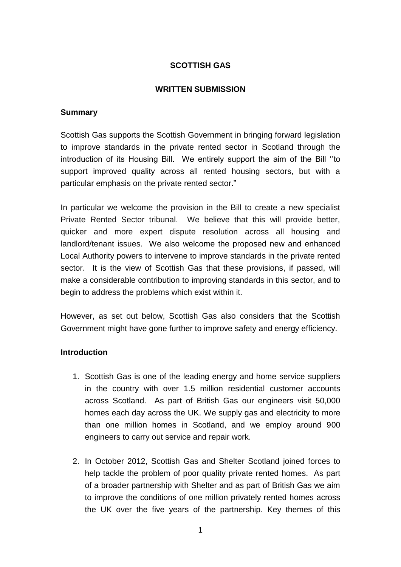# **SCOTTISH GAS**

#### **WRITTEN SUBMISSION**

#### **Summary**

Scottish Gas supports the Scottish Government in bringing forward legislation to improve standards in the private rented sector in Scotland through the introduction of its Housing Bill. We entirely support the aim of the Bill ''to support improved quality across all rented housing sectors, but with a particular emphasis on the private rented sector."

In particular we welcome the provision in the Bill to create a new specialist Private Rented Sector tribunal. We believe that this will provide better, quicker and more expert dispute resolution across all housing and landlord/tenant issues. We also welcome the proposed new and enhanced Local Authority powers to intervene to improve standards in the private rented sector. It is the view of Scottish Gas that these provisions, if passed, will make a considerable contribution to improving standards in this sector, and to begin to address the problems which exist within it.

However, as set out below, Scottish Gas also considers that the Scottish Government might have gone further to improve safety and energy efficiency.

### **Introduction**

- 1. Scottish Gas is one of the leading energy and home service suppliers in the country with over 1.5 million residential customer accounts across Scotland. As part of British Gas our engineers visit 50,000 homes each day across the UK. We supply gas and electricity to more than one million homes in Scotland, and we employ around 900 engineers to carry out service and repair work.
- 2. In October 2012, Scottish Gas and Shelter Scotland joined forces to help tackle the problem of poor quality private rented homes. As part of a broader partnership with Shelter and as part of British Gas we aim to improve the conditions of one million privately rented homes across the UK over the five years of the partnership. Key themes of this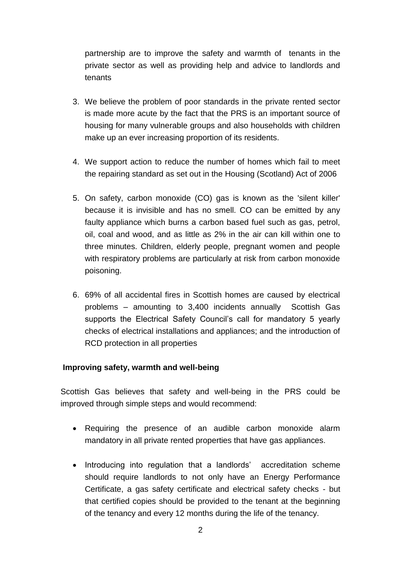partnership are to improve the safety and warmth of tenants in the private sector as well as providing help and advice to landlords and tenants

- 3. We believe the problem of poor standards in the private rented sector is made more acute by the fact that the PRS is an important source of housing for many vulnerable groups and also households with children make up an ever increasing proportion of its residents.
- 4. We support action to reduce the number of homes which fail to meet the repairing standard as set out in the Housing (Scotland) Act of 2006
- 5. On safety, carbon monoxide (CO) gas is known as the 'silent killer' because it is invisible and has no smell. CO can be emitted by any faulty appliance which burns a carbon based fuel such as gas, petrol, oil, coal and wood, and as little as 2% in the air can kill within one to three minutes. Children, elderly people, pregnant women and people with respiratory problems are particularly at risk from carbon monoxide poisoning.
- 6. 69% of all accidental fires in Scottish homes are caused by electrical problems – amounting to 3,400 incidents annually Scottish Gas supports the Electrical Safety Council's call for mandatory 5 yearly checks of electrical installations and appliances; and the introduction of RCD protection in all properties

# **Improving safety, warmth and well-being**

Scottish Gas believes that safety and well-being in the PRS could be improved through simple steps and would recommend:

- Requiring the presence of an audible carbon monoxide alarm mandatory in all private rented properties that have gas appliances.
- Introducing into regulation that a landlords' accreditation scheme should require landlords to not only have an Energy Performance Certificate, a gas safety certificate and electrical safety checks - but that certified copies should be provided to the tenant at the beginning of the tenancy and every 12 months during the life of the tenancy.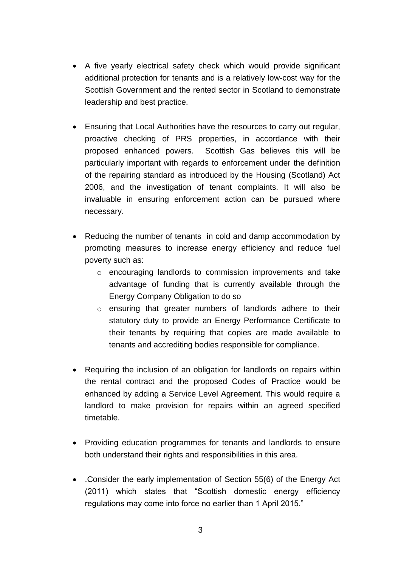- A five yearly electrical safety check which would provide significant additional protection for tenants and is a relatively low-cost way for the Scottish Government and the rented sector in Scotland to demonstrate leadership and best practice.
- Ensuring that Local Authorities have the resources to carry out regular, proactive checking of PRS properties, in accordance with their proposed enhanced powers. Scottish Gas believes this will be particularly important with regards to enforcement under the definition of the repairing standard as introduced by the Housing (Scotland) Act 2006, and the investigation of tenant complaints. It will also be invaluable in ensuring enforcement action can be pursued where necessary.
- Reducing the number of tenants in cold and damp accommodation by promoting measures to increase energy efficiency and reduce fuel poverty such as:
	- o encouraging landlords to commission improvements and take advantage of funding that is currently available through the Energy Company Obligation to do so
	- o ensuring that greater numbers of landlords adhere to their statutory duty to provide an Energy Performance Certificate to their tenants by requiring that copies are made available to tenants and accrediting bodies responsible for compliance.
- Requiring the inclusion of an obligation for landlords on repairs within the rental contract and the proposed Codes of Practice would be enhanced by adding a Service Level Agreement. This would require a landlord to make provision for repairs within an agreed specified timetable.
- Providing education programmes for tenants and landlords to ensure both understand their rights and responsibilities in this area.
- .Consider the early implementation of Section 55(6) of the Energy Act (2011) which states that "Scottish domestic energy efficiency regulations may come into force no earlier than 1 April 2015."